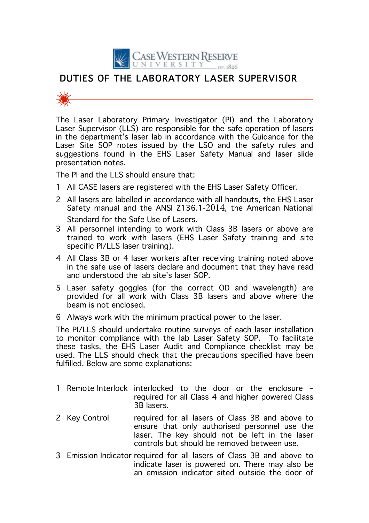

## DUTIES OF THE LABORATORY LASER SUPERVISOR



The Laser Laboratory Primary Investigator (PI) and the Laboratory Laser Supervisor (LLS) are responsible for the safe operation of lasers in the department's laser lab in accordance with the Guidance for the Laser Site SOP notes issued by the LSO and the safety rules and suggestions found in the EHS Laser Safety Manual and laser slide presentation notes.

The PI and the LLS should ensure that:

- 1 All CASE lasers are registered with the EHS Laser Safety Officer.
- 2 All lasers are labelled in accordance with all handouts, the EHS Laser Safety manual and the ANSI Z136.1-2014, the American National Standard for the Safe Use of Lasers.
- 3 All personnel intending to work with Class 3B lasers or above are trained to work with lasers (EHS Laser Safety training and site specific PI/LLS laser training).
- 4 All Class 3B or 4 laser workers after receiving training noted above in the safe use of lasers declare and document that they have read and understood the lab site's laser SOP.
- 5 Laser safety goggles (for the correct OD and wavelength) are provided for all work with Class 3B lasers and above where the beam is not enclosed.
- 6 Always work with the minimum practical power to the laser.

The PI/LLS should undertake routine surveys of each laser installation to monitor compliance with the lab Laser Safety SOP. To facilitate these tasks, the EHS Laser Audit and Compliance checklist may be used. The LLS should check that the precautions specified have been fulfilled. Below are some explanations:

- 1 Remote Interlock interlocked to the door or the enclosure required for all Class 4 and higher powered Class 3B lasers.
- 2 Key Control required for all lasers of Class 3B and above to ensure that only authorised personnel use the laser. The key should not be left in the laser controls but should be removed between use.
- 3 Emission Indicator required for all lasers of Class 3B and above to indicate laser is powered on. There may also be an emission indicator sited outside the door of